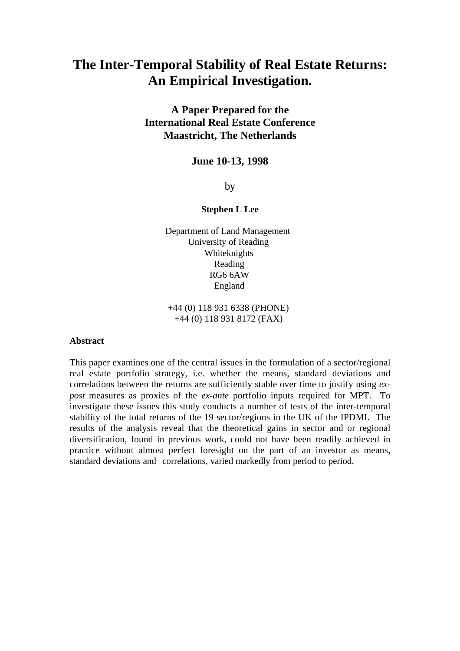# **The Inter-Temporal Stability of Real Estate Returns: An Empirical Investigation.**

**A Paper Prepared for the International Real Estate Conference Maastricht, The Netherlands**

# **June 10-13, 1998**

by

#### **Stephen L Lee**

Department of Land Management University of Reading Whiteknights Reading RG6 6AW England

+44 (0) 118 931 6338 (PHONE) +44 (0) 118 931 8172 (FAX)

#### **Abstract**

This paper examines one of the central issues in the formulation of a sector/regional real estate portfolio strategy, i.e. whether the means, standard deviations and correlations between the returns are sufficiently stable over time to justify using *expost* measures as proxies of the *ex-ante* portfolio inputs required for MPT. To investigate these issues this study conducts a number of tests of the inter-temporal stability of the total returns of the 19 sector/regions in the UK of the IPDMI. The results of the analysis reveal that the theoretical gains in sector and or regional diversification, found in previous work, could not have been readily achieved in practice without almost perfect foresight on the part of an investor as means, standard deviations and correlations, varied markedly from period to period.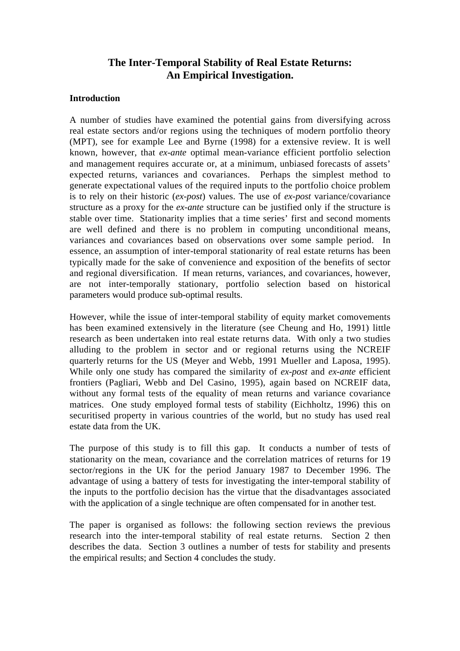# **The Inter-Temporal Stability of Real Estate Returns: An Empirical Investigation.**

# **Introduction**

A number of studies have examined the potential gains from diversifying across real estate sectors and/or regions using the techniques of modern portfolio theory (MPT), see for example Lee and Byrne (1998) for a extensive review. It is well known, however, that *ex-ante* optimal mean-variance efficient portfolio selection and management requires accurate or, at a minimum, unbiased forecasts of assets' expected returns, variances and covariances. Perhaps the simplest method to generate expectational values of the required inputs to the portfolio choice problem is to rely on their historic (*ex-post*) values. The use of *ex-post* variance/covariance structure as a proxy for the *ex-ante* structure can be justified only if the structure is stable over time. Stationarity implies that a time series' first and second moments are well defined and there is no problem in computing unconditional means, variances and covariances based on observations over some sample period. In essence, an assumption of inter-temporal stationarity of real estate returns has been typically made for the sake of convenience and exposition of the benefits of sector and regional diversification. If mean returns, variances, and covariances, however, are not inter-temporally stationary, portfolio selection based on historical parameters would produce sub-optimal results.

However, while the issue of inter-temporal stability of equity market comovements has been examined extensively in the literature (see Cheung and Ho, 1991) little research as been undertaken into real estate returns data. With only a two studies alluding to the problem in sector and or regional returns using the NCREIF quarterly returns for the US (Meyer and Webb, 1991 Mueller and Laposa, 1995). While only one study has compared the similarity of *ex-post* and *ex-ante* efficient frontiers (Pagliari, Webb and Del Casino, 1995), again based on NCREIF data, without any formal tests of the equality of mean returns and variance covariance matrices. One study employed formal tests of stability (Eichholtz, 1996) this on securitised property in various countries of the world, but no study has used real estate data from the UK.

The purpose of this study is to fill this gap. It conducts a number of tests of stationarity on the mean, covariance and the correlation matrices of returns for 19 sector/regions in the UK for the period January 1987 to December 1996. The advantage of using a battery of tests for investigating the inter-temporal stability of the inputs to the portfolio decision has the virtue that the disadvantages associated with the application of a single technique are often compensated for in another test.

The paper is organised as follows: the following section reviews the previous research into the inter-temporal stability of real estate returns. Section 2 then describes the data. Section 3 outlines a number of tests for stability and presents the empirical results; and Section 4 concludes the study.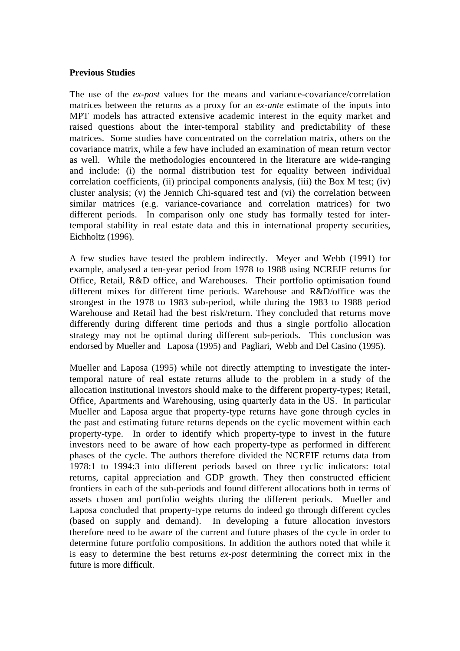## **Previous Studies**

The use of the *ex-post* values for the means and variance-covariance/correlation matrices between the returns as a proxy for an *ex-ante* estimate of the inputs into MPT models has attracted extensive academic interest in the equity market and raised questions about the inter-temporal stability and predictability of these matrices. Some studies have concentrated on the correlation matrix, others on the covariance matrix, while a few have included an examination of mean return vector as well. While the methodologies encountered in the literature are wide-ranging and include: (i) the normal distribution test for equality between individual correlation coefficients, (ii) principal components analysis, (iii) the Box M test; (iv) cluster analysis; (v) the Jennich Chi-squared test and (vi) the correlation between similar matrices (e.g. variance-covariance and correlation matrices) for two different periods. In comparison only one study has formally tested for intertemporal stability in real estate data and this in international property securities, Eichholtz (1996).

A few studies have tested the problem indirectly. Meyer and Webb (1991) for example, analysed a ten-year period from 1978 to 1988 using NCREIF returns for Office, Retail, R&D office, and Warehouses. Their portfolio optimisation found different mixes for different time periods. Warehouse and R&D/office was the strongest in the 1978 to 1983 sub-period, while during the 1983 to 1988 period Warehouse and Retail had the best risk/return. They concluded that returns move differently during different time periods and thus a single portfolio allocation strategy may not be optimal during different sub-periods. This conclusion was endorsed by Mueller and Laposa (1995) and Pagliari, Webb and Del Casino (1995).

Mueller and Laposa (1995) while not directly attempting to investigate the intertemporal nature of real estate returns allude to the problem in a study of the allocation institutional investors should make to the different property-types; Retail, Office, Apartments and Warehousing, using quarterly data in the US. In particular Mueller and Laposa argue that property-type returns have gone through cycles in the past and estimating future returns depends on the cyclic movement within each property-type. In order to identify which property-type to invest in the future investors need to be aware of how each property-type as performed in different phases of the cycle. The authors therefore divided the NCREIF returns data from 1978:1 to 1994:3 into different periods based on three cyclic indicators: total returns, capital appreciation and GDP growth. They then constructed efficient frontiers in each of the sub-periods and found different allocations both in terms of assets chosen and portfolio weights during the different periods. Mueller and Laposa concluded that property-type returns do indeed go through different cycles (based on supply and demand). In developing a future allocation investors therefore need to be aware of the current and future phases of the cycle in order to determine future portfolio compositions. In addition the authors noted that while it is easy to determine the best returns *ex-post* determining the correct mix in the future is more difficult.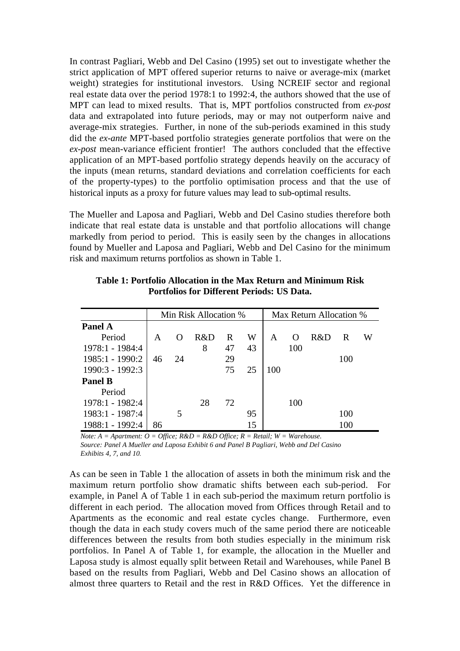In contrast Pagliari, Webb and Del Casino (1995) set out to investigate whether the strict application of MPT offered superior returns to naive or average-mix (market weight) strategies for institutional investors. Using NCREIF sector and regional real estate data over the period 1978:1 to 1992:4, the authors showed that the use of MPT can lead to mixed results. That is, MPT portfolios constructed from *ex-post* data and extrapolated into future periods, may or may not outperform naive and average-mix strategies. Further, in none of the sub-periods examined in this study did the *ex-ante* MPT-based portfolio strategies generate portfolios that were on the *ex-post* mean-variance efficient frontier! The authors concluded that the effective application of an MPT-based portfolio strategy depends heavily on the accuracy of the inputs (mean returns, standard deviations and correlation coefficients for each of the property-types) to the portfolio optimisation process and that the use of historical inputs as a proxy for future values may lead to sub-optimal results.

The Mueller and Laposa and Pagliari, Webb and Del Casino studies therefore both indicate that real estate data is unstable and that portfolio allocations will change markedly from period to period. This is easily seen by the changes in allocations found by Mueller and Laposa and Pagliari, Webb and Del Casino for the minimum risk and maximum returns portfolios as shown in Table 1.

|                 |    |          | Min Risk Allocation % |    |    | Max Return Allocation % |          |     |     |   |
|-----------------|----|----------|-----------------------|----|----|-------------------------|----------|-----|-----|---|
| <b>Panel A</b>  |    |          |                       |    |    |                         |          |     |     |   |
| Period          | A  | $\Omega$ | R&D                   | R  | W  | A                       | $\Omega$ | R&D | R   | W |
| 1978:1 - 1984:4 |    |          | 8                     | 47 | 43 |                         | 100      |     |     |   |
| 1985:1 - 1990:2 | 46 | 24       |                       | 29 |    |                         |          |     | 100 |   |
| 1990:3 - 1992:3 |    |          |                       | 75 | 25 | 100                     |          |     |     |   |
| <b>Panel B</b>  |    |          |                       |    |    |                         |          |     |     |   |
| Period          |    |          |                       |    |    |                         |          |     |     |   |
| 1978:1 - 1982:4 |    |          | 28                    | 72 |    |                         | 100      |     |     |   |
| 1983:1 - 1987:4 |    | 5        |                       |    | 95 |                         |          |     | 100 |   |
| 1988:1 - 1992:4 | 86 |          |                       |    | 15 |                         |          |     | 100 |   |

**Table 1: Portfolio Allocation in the Max Return and Minimum Risk Portfolios for Different Periods: US Data.**

*Note:*  $A =$  *Apartment:*  $O =$  *Office;*  $R \& D = R \& D$  *Office;*  $R =$  *Retail;*  $W =$  *Warehouse. Source: Panel A Mueller and Laposa Exhibit 6 and Panel B Pagliari, Webb and Del Casino Exhibits 4, 7, and 10.*

As can be seen in Table 1 the allocation of assets in both the minimum risk and the maximum return portfolio show dramatic shifts between each sub-period. For example, in Panel A of Table 1 in each sub-period the maximum return portfolio is different in each period. The allocation moved from Offices through Retail and to Apartments as the economic and real estate cycles change. Furthermore, even though the data in each study covers much of the same period there are noticeable differences between the results from both studies especially in the minimum risk portfolios. In Panel A of Table 1, for example, the allocation in the Mueller and Laposa study is almost equally split between Retail and Warehouses, while Panel B based on the results from Pagliari, Webb and Del Casino shows an allocation of almost three quarters to Retail and the rest in R&D Offices. Yet the difference in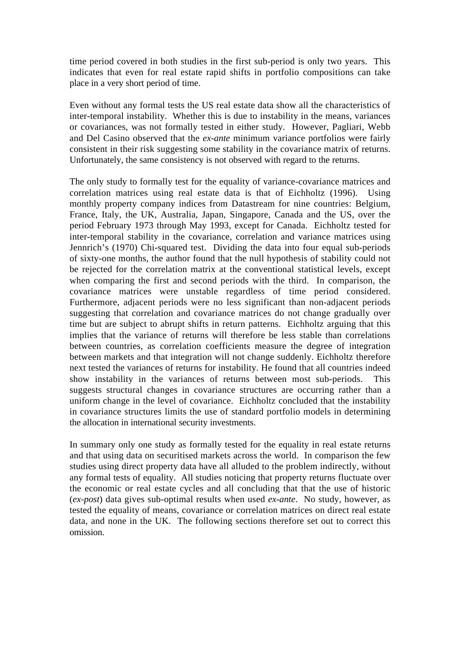time period covered in both studies in the first sub-period is only two years. This indicates that even for real estate rapid shifts in portfolio compositions can take place in a very short period of time.

Even without any formal tests the US real estate data show all the characteristics of inter-temporal instability. Whether this is due to instability in the means, variances or covariances, was not formally tested in either study. However, Pagliari, Webb and Del Casino observed that the *ex-ante* minimum variance portfolios were fairly consistent in their risk suggesting some stability in the covariance matrix of returns. Unfortunately, the same consistency is not observed with regard to the returns.

The only study to formally test for the equality of variance-covariance matrices and correlation matrices using real estate data is that of Eichholtz (1996). Using monthly property company indices from Datastream for nine countries: Belgium, France, Italy, the UK, Australia, Japan, Singapore, Canada and the US, over the period February 1973 through May 1993, except for Canada. Eichholtz tested for inter-temporal stability in the covariance, correlation and variance matrices using Jennrich's (1970) Chi-squared test. Dividing the data into four equal sub-periods of sixty-one months, the author found that the null hypothesis of stability could not be rejected for the correlation matrix at the conventional statistical levels, except when comparing the first and second periods with the third. In comparison, the covariance matrices were unstable regardless of time period considered. Furthermore, adjacent periods were no less significant than non-adjacent periods suggesting that correlation and covariance matrices do not change gradually over time but are subject to abrupt shifts in return patterns. Eichholtz arguing that this implies that the variance of returns will therefore be less stable than correlations between countries, as correlation coefficients measure the degree of integration between markets and that integration will not change suddenly. Eichholtz therefore next tested the variances of returns for instability. He found that all countries indeed show instability in the variances of returns between most sub-periods. This suggests structural changes in covariance structures are occurring rather than a uniform change in the level of covariance. Eichholtz concluded that the instability in covariance structures limits the use of standard portfolio models in determining the allocation in international security investments.

In summary only one study as formally tested for the equality in real estate returns and that using data on securitised markets across the world. In comparison the few studies using direct property data have all alluded to the problem indirectly, without any formal tests of equality. All studies noticing that property returns fluctuate over the economic or real estate cycles and all concluding that that the use of historic (*ex-post*) data gives sub-optimal results when used *ex-ante*. No study, however, as tested the equality of means, covariance or correlation matrices on direct real estate data, and none in the UK. The following sections therefore set out to correct this omission.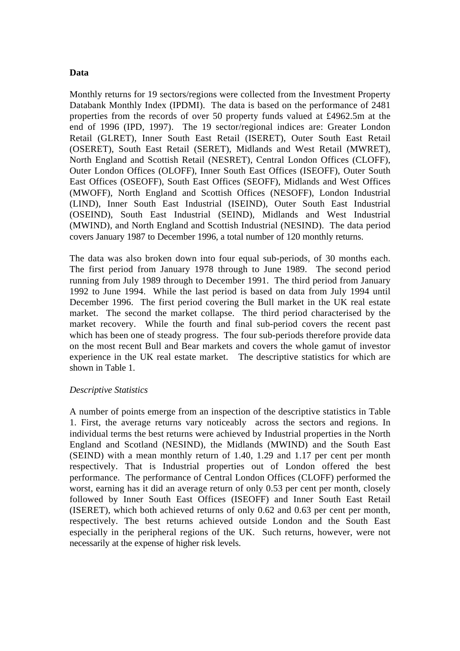## **Data**

Monthly returns for 19 sectors/regions were collected from the Investment Property Databank Monthly Index (IPDMI). The data is based on the performance of 2481 properties from the records of over 50 property funds valued at £4962.5m at the end of 1996 (IPD, 1997). The 19 sector/regional indices are: Greater London Retail (GLRET), Inner South East Retail (ISERET), Outer South East Retail (OSERET), South East Retail (SERET), Midlands and West Retail (MWRET), North England and Scottish Retail (NESRET), Central London Offices (CLOFF), Outer London Offices (OLOFF), Inner South East Offices (ISEOFF), Outer South East Offices (OSEOFF), South East Offices (SEOFF), Midlands and West Offices (MWOFF), North England and Scottish Offices (NESOFF), London Industrial (LIND), Inner South East Industrial (ISEIND), Outer South East Industrial (OSEIND), South East Industrial (SEIND), Midlands and West Industrial (MWIND), and North England and Scottish Industrial (NESIND). The data period covers January 1987 to December 1996, a total number of 120 monthly returns.

The data was also broken down into four equal sub-periods, of 30 months each. The first period from January 1978 through to June 1989. The second period running from July 1989 through to December 1991. The third period from January 1992 to June 1994. While the last period is based on data from July 1994 until December 1996. The first period covering the Bull market in the UK real estate market. The second the market collapse. The third period characterised by the market recovery. While the fourth and final sub-period covers the recent past which has been one of steady progress. The four sub-periods therefore provide data on the most recent Bull and Bear markets and covers the whole gamut of investor experience in the UK real estate market. The descriptive statistics for which are shown in Table 1.

#### *Descriptive Statistics*

A number of points emerge from an inspection of the descriptive statistics in Table 1. First, the average returns vary noticeably across the sectors and regions. In individual terms the best returns were achieved by Industrial properties in the North England and Scotland (NESIND), the Midlands (MWIND) and the South East (SEIND) with a mean monthly return of 1.40, 1.29 and 1.17 per cent per month respectively. That is Industrial properties out of London offered the best performance. The performance of Central London Offices (CLOFF) performed the worst, earning has it did an average return of only 0.53 per cent per month, closely followed by Inner South East Offices (ISEOFF) and Inner South East Retail (ISERET), which both achieved returns of only 0.62 and 0.63 per cent per month, respectively. The best returns achieved outside London and the South East especially in the peripheral regions of the UK. Such returns, however, were not necessarily at the expense of higher risk levels.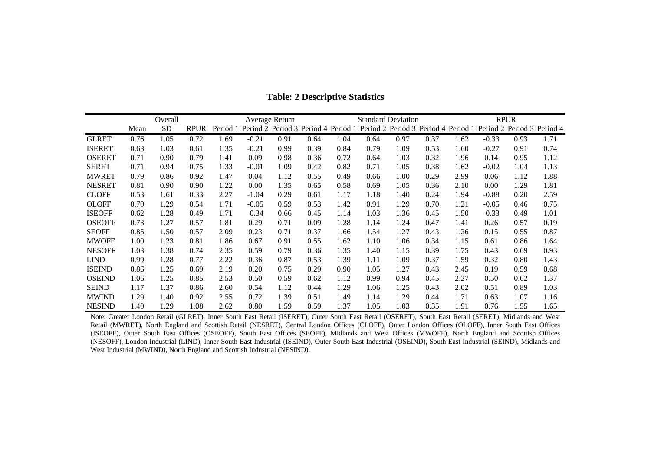|               |      | Overall   |             |          |         | Average Return |      |      |                                                                         | <b>Standard Deviation</b> |      |      |         | <b>RPUR</b> |                            |
|---------------|------|-----------|-------------|----------|---------|----------------|------|------|-------------------------------------------------------------------------|---------------------------|------|------|---------|-------------|----------------------------|
|               | Mean | <b>SD</b> | <b>RPUR</b> | Period 1 |         |                |      |      | Period 2 Period 3 Period 4 Period 1 Period 2 Period 3 Period 4 Period 1 |                           |      |      |         |             | Period 2 Period 3 Period 4 |
| <b>GLRET</b>  | 0.76 | 1.05      | 0.72        | 1.69     | $-0.21$ | 0.91           | 0.64 | 1.04 | 0.64                                                                    | 0.97                      | 0.37 | 1.62 | $-0.33$ | 0.93        | 1.71                       |
| <b>ISERET</b> | 0.63 | 1.03      | 0.61        | 1.35     | $-0.21$ | 0.99           | 0.39 | 0.84 | 0.79                                                                    | 1.09                      | 0.53 | 1.60 | $-0.27$ | 0.91        | 0.74                       |
| <b>OSERET</b> | 0.71 | 0.90      | 0.79        | 1.41     | 0.09    | 0.98           | 0.36 | 0.72 | 0.64                                                                    | 1.03                      | 0.32 | 1.96 | 0.14    | 0.95        | 1.12                       |
| <b>SERET</b>  | 0.71 | 0.94      | 0.75        | 1.33     | $-0.01$ | 1.09           | 0.42 | 0.82 | 0.71                                                                    | 1.05                      | 0.38 | 1.62 | $-0.02$ | 1.04        | 1.13                       |
| <b>MWRET</b>  | 0.79 | 0.86      | 0.92        | 1.47     | 0.04    | 1.12           | 0.55 | 0.49 | 0.66                                                                    | 1.00                      | 0.29 | 2.99 | 0.06    | 1.12        | 1.88                       |
| <b>NESRET</b> | 0.81 | 0.90      | 0.90        | 1.22     | 0.00    | 1.35           | 0.65 | 0.58 | 0.69                                                                    | 1.05                      | 0.36 | 2.10 | 0.00    | 1.29        | 1.81                       |
| <b>CLOFF</b>  | 0.53 | 1.61      | 0.33        | 2.27     | $-1.04$ | 0.29           | 0.61 | 1.17 | 1.18                                                                    | 1.40                      | 0.24 | 1.94 | $-0.88$ | 0.20        | 2.59                       |
| <b>OLOFF</b>  | 0.70 | 1.29      | 0.54        | 1.71     | $-0.05$ | 0.59           | 0.53 | 1.42 | 0.91                                                                    | 1.29                      | 0.70 | 1.21 | $-0.05$ | 0.46        | 0.75                       |
| <b>ISEOFF</b> | 0.62 | 1.28      | 0.49        | 1.71     | $-0.34$ | 0.66           | 0.45 | 1.14 | 1.03                                                                    | 1.36                      | 0.45 | 1.50 | $-0.33$ | 0.49        | 1.01                       |
| <b>OSEOFF</b> | 0.73 | 1.27      | 0.57        | 1.81     | 0.29    | 0.71           | 0.09 | 1.28 | 1.14                                                                    | 1.24                      | 0.47 | 1.41 | 0.26    | 0.57        | 0.19                       |
| <b>SEOFF</b>  | 0.85 | 1.50      | 0.57        | 2.09     | 0.23    | 0.71           | 0.37 | 1.66 | 1.54                                                                    | 1.27                      | 0.43 | 1.26 | 0.15    | 0.55        | 0.87                       |
| <b>MWOFF</b>  | 1.00 | 1.23      | 0.81        | 1.86     | 0.67    | 0.91           | 0.55 | 1.62 | 1.10                                                                    | 1.06                      | 0.34 | 1.15 | 0.61    | 0.86        | 1.64                       |
| <b>NESOFF</b> | 1.03 | 1.38      | 0.74        | 2.35     | 0.59    | 0.79           | 0.36 | 1.35 | 1.40                                                                    | 1.15                      | 0.39 | 1.75 | 0.43    | 0.69        | 0.93                       |
| <b>LIND</b>   | 0.99 | 1.28      | 0.77        | 2.22     | 0.36    | 0.87           | 0.53 | 1.39 | 1.11                                                                    | 1.09                      | 0.37 | 1.59 | 0.32    | 0.80        | 1.43                       |
| <b>ISEIND</b> | 0.86 | 1.25      | 0.69        | 2.19     | 0.20    | 0.75           | 0.29 | 0.90 | 1.05                                                                    | 1.27                      | 0.43 | 2.45 | 0.19    | 0.59        | 0.68                       |
| <b>OSEIND</b> | 1.06 | 1.25      | 0.85        | 2.53     | 0.50    | 0.59           | 0.62 | 1.12 | 0.99                                                                    | 0.94                      | 0.45 | 2.27 | 0.50    | 0.62        | 1.37                       |
| <b>SEIND</b>  | 1.17 | 1.37      | 0.86        | 2.60     | 0.54    | 1.12           | 0.44 | 1.29 | 1.06                                                                    | 1.25                      | 0.43 | 2.02 | 0.51    | 0.89        | 1.03                       |
| <b>MWIND</b>  | 1.29 | 1.40      | 0.92        | 2.55     | 0.72    | 1.39           | 0.51 | 1.49 | 1.14                                                                    | 1.29                      | 0.44 | 1.71 | 0.63    | 1.07        | 1.16                       |
| <b>NESIND</b> | 1.40 | 1.29      | 1.08        | 2.62     | 0.80    | 1.59           | 0.59 | 1.37 | 1.05                                                                    | 1.03                      | 0.35 | 1.91 | 0.76    | 1.55        | 1.65                       |

## **Table: 2 Descriptive Statistics**

Note: Greater London Retail (GLRET), Inner South East Retail (ISERET), Outer South East Retail (OSERET), South East Retail (SERET), Midlands and West Retail (MWRET), North England and Scottish Retail (NESRET), Central London Offices (CLOFF), Outer London Offices (OLOFF), Inner South East Offices (ISEOFF), Outer South East Offices (OSEOFF), South East Offices (SEOFF), Midlands and West Offices (MWOFF), North England and Scottish Offices (NESOFF), London Industrial (LIND), Inner South East Industrial (ISEIND), Outer South East Industrial (OSEIND), South East Industrial (SEIND), Midlands and West Industrial (MWIND), North England and Scottish Industrial (NESIND).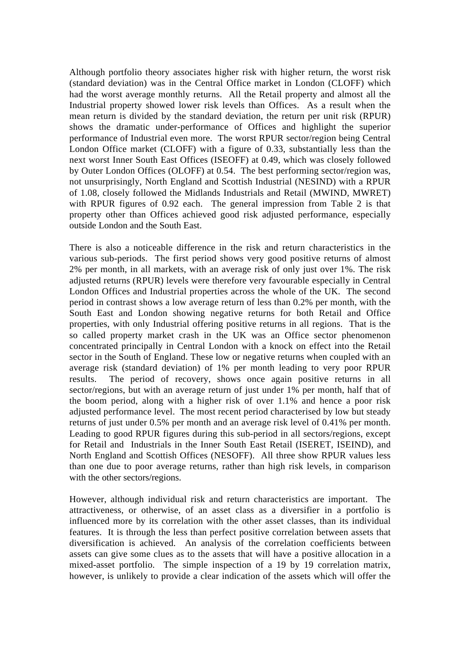Although portfolio theory associates higher risk with higher return, the worst risk (standard deviation) was in the Central Office market in London (CLOFF) which had the worst average monthly returns. All the Retail property and almost all the Industrial property showed lower risk levels than Offices. As a result when the mean return is divided by the standard deviation, the return per unit risk (RPUR) shows the dramatic under-performance of Offices and highlight the superior performance of Industrial even more. The worst RPUR sector/region being Central London Office market (CLOFF) with a figure of 0.33, substantially less than the next worst Inner South East Offices (ISEOFF) at 0.49, which was closely followed by Outer London Offices (OLOFF) at 0.54. The best performing sector/region was, not unsurprisingly, North England and Scottish Industrial (NESIND) with a RPUR of 1.08, closely followed the Midlands Industrials and Retail (MWIND, MWRET) with RPUR figures of 0.92 each. The general impression from Table 2 is that property other than Offices achieved good risk adjusted performance, especially outside London and the South East.

There is also a noticeable difference in the risk and return characteristics in the various sub-periods. The first period shows very good positive returns of almost 2% per month, in all markets, with an average risk of only just over 1%. The risk adjusted returns (RPUR) levels were therefore very favourable especially in Central London Offices and Industrial properties across the whole of the UK. The second period in contrast shows a low average return of less than 0.2% per month, with the South East and London showing negative returns for both Retail and Office properties, with only Industrial offering positive returns in all regions. That is the so called property market crash in the UK was an Office sector phenomenon concentrated principally in Central London with a knock on effect into the Retail sector in the South of England. These low or negative returns when coupled with an average risk (standard deviation) of 1% per month leading to very poor RPUR results. The period of recovery, shows once again positive returns in all sector/regions, but with an average return of just under 1% per month, half that of the boom period, along with a higher risk of over 1.1% and hence a poor risk adjusted performance level. The most recent period characterised by low but steady returns of just under 0.5% per month and an average risk level of 0.41% per month. Leading to good RPUR figures during this sub-period in all sectors/regions, except for Retail and Industrials in the Inner South East Retail (ISERET, ISEIND), and North England and Scottish Offices (NESOFF). All three show RPUR values less than one due to poor average returns, rather than high risk levels, in comparison with the other sectors/regions.

However, although individual risk and return characteristics are important. The attractiveness, or otherwise, of an asset class as a diversifier in a portfolio is influenced more by its correlation with the other asset classes, than its individual features. It is through the less than perfect positive correlation between assets that diversification is achieved. An analysis of the correlation coefficients between assets can give some clues as to the assets that will have a positive allocation in a mixed-asset portfolio. The simple inspection of a 19 by 19 correlation matrix, however, is unlikely to provide a clear indication of the assets which will offer the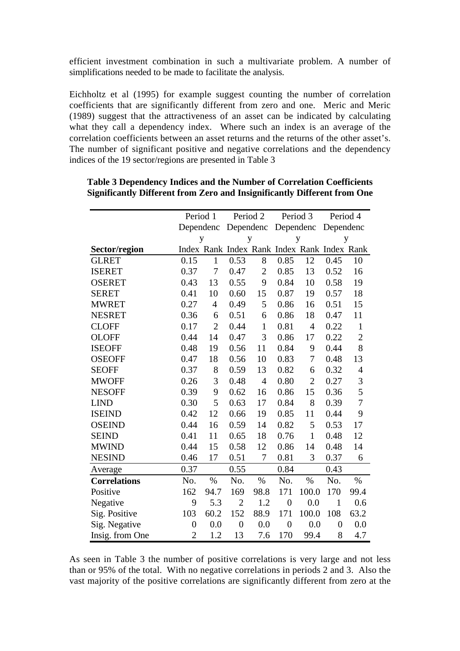efficient investment combination in such a multivariate problem. A number of simplifications needed to be made to facilitate the analysis.

Eichholtz et al (1995) for example suggest counting the number of correlation coefficients that are significantly different from zero and one. Meric and Meric (1989) suggest that the attractiveness of an asset can be indicated by calculating what they call a dependency index. Where such an index is an average of the correlation coefficients between an asset returns and the returns of the other asset's. The number of significant positive and negative correlations and the dependency indices of the 19 sector/regions are presented in Table 3

|                     | Period 1         |                | Period 2                                    |                | Period 3         |                | Period 4         |                |
|---------------------|------------------|----------------|---------------------------------------------|----------------|------------------|----------------|------------------|----------------|
|                     | Dependenc        |                | Dependenc                                   |                |                  |                | Dependenc        |                |
|                     |                  | y              | y                                           |                | Dependenc<br>y   |                | y                |                |
| Sector/region       |                  |                | Index Rank Index Rank Index Rank Index Rank |                |                  |                |                  |                |
| <b>GLRET</b>        | 0.15             | $\mathbf{1}$   | 0.53                                        | 8              | 0.85             | 12             | 0.45             | 10             |
| <b>ISERET</b>       | 0.37             | 7              | 0.47                                        | $\mathbf{2}$   | 0.85             | 13             | 0.52             | 16             |
| <b>OSERET</b>       | 0.43             | 13             | 0.55                                        | 9              | 0.84             | 10             | 0.58             | 19             |
| <b>SERET</b>        | 0.41             | 10             | 0.60                                        | 15             | 0.87             | 19             | 0.57             | 18             |
| <b>MWRET</b>        | 0.27             | $\overline{4}$ | 0.49                                        | 5              | 0.86             | 16             | 0.51             | 15             |
| <b>NESRET</b>       | 0.36             | 6              | 0.51                                        | 6              | 0.86             | 18             | 0.47             | 11             |
| <b>CLOFF</b>        | 0.17             | $\overline{2}$ | 0.44                                        | $\mathbf{1}$   | 0.81             | $\overline{4}$ | 0.22             | $\mathbf{1}$   |
| <b>OLOFF</b>        | 0.44             | 14             | 0.47                                        | 3              | 0.86             | 17             | 0.22             | $\overline{2}$ |
| <b>ISEOFF</b>       | 0.48             | 19             | 0.56                                        | 11             | 0.84             | 9              | 0.44             | 8              |
| <b>OSEOFF</b>       | 0.47             | 18             | 0.56                                        | 10             | 0.83             | $\tau$         | 0.48             | 13             |
| <b>SEOFF</b>        | 0.37             | 8              | 0.59                                        | 13             | 0.82             | 6              | 0.32             | $\overline{4}$ |
| <b>MWOFF</b>        | 0.26             | 3              | 0.48                                        | $\overline{4}$ | 0.80             | $\overline{2}$ | 0.27             | 3              |
| <b>NESOFF</b>       | 0.39             | 9              | 0.62                                        | 16             | 0.86             | 15             | 0.36             | 5              |
| <b>LIND</b>         | 0.30             | 5              | 0.63                                        | 17             | 0.84             | 8              | 0.39             | $\overline{7}$ |
| <b>ISEIND</b>       | 0.42             | 12             | 0.66                                        | 19             | 0.85             | 11             | 0.44             | 9              |
| <b>OSEIND</b>       | 0.44             | 16             | 0.59                                        | 14             | 0.82             | 5              | 0.53             | 17             |
| <b>SEIND</b>        | 0.41             | 11             | 0.65                                        | 18             | 0.76             | $\mathbf{1}$   | 0.48             | 12             |
| <b>MWIND</b>        | 0.44             | 15             | 0.58                                        | 12             | 0.86             | 14             | 0.48             | 14             |
| <b>NESIND</b>       | 0.46             | 17             | 0.51                                        | 7              | 0.81             | 3              | 0.37             | 6              |
| Average             | 0.37             |                | 0.55                                        |                | 0.84             |                | 0.43             |                |
| <b>Correlations</b> | No.              | $\%$           | No.                                         | $\%$           | No.              | $\%$           | No.              | $\%$           |
| Positive            | 162              | 94.7           | 169                                         | 98.8           | 171              | 100.0          | 170              | 99.4           |
| Negative            | 9                | 5.3            | $\overline{2}$                              | 1.2            | $\boldsymbol{0}$ | 0.0            | $\mathbf{1}$     | 0.6            |
| Sig. Positive       | 103              | 60.2           | 152                                         | 88.9           | 171              | 100.0          | 108              | 63.2           |
| Sig. Negative       | $\boldsymbol{0}$ | 0.0            | $\boldsymbol{0}$                            | 0.0            | $\boldsymbol{0}$ | 0.0            | $\boldsymbol{0}$ | 0.0            |
| Insig. from One     | $\overline{2}$   | 1.2            | 13                                          | 7.6            | 170              | 99.4           | 8                | 4.7            |

# **Table 3 Dependency Indices and the Number of Correlation Coefficients Significantly Different from Zero and Insignificantly Different from One**

As seen in Table 3 the number of positive correlations is very large and not less than or 95% of the total. With no negative correlations in periods 2 and 3. Also the vast majority of the positive correlations are significantly different from zero at the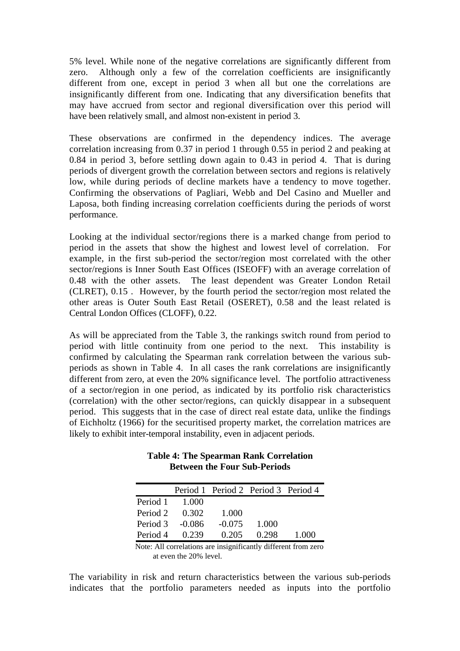5% level. While none of the negative correlations are significantly different from zero. Although only a few of the correlation coefficients are insignificantly different from one, except in period 3 when all but one the correlations are insignificantly different from one. Indicating that any diversification benefits that may have accrued from sector and regional diversification over this period will have been relatively small, and almost non-existent in period 3.

These observations are confirmed in the dependency indices. The average correlation increasing from 0.37 in period 1 through 0.55 in period 2 and peaking at 0.84 in period 3, before settling down again to 0.43 in period 4. That is during periods of divergent growth the correlation between sectors and regions is relatively low, while during periods of decline markets have a tendency to move together. Confirming the observations of Pagliari, Webb and Del Casino and Mueller and Laposa, both finding increasing correlation coefficients during the periods of worst performance.

Looking at the individual sector/regions there is a marked change from period to period in the assets that show the highest and lowest level of correlation. For example, in the first sub-period the sector/region most correlated with the other sector/regions is Inner South East Offices (ISEOFF) with an average correlation of 0.48 with the other assets. The least dependent was Greater London Retail (CLRET), 0.15 . However, by the fourth period the sector/region most related the other areas is Outer South East Retail (OSERET), 0.58 and the least related is Central London Offices (CLOFF), 0.22.

As will be appreciated from the Table 3, the rankings switch round from period to period with little continuity from one period to the next. This instability is confirmed by calculating the Spearman rank correlation between the various subperiods as shown in Table 4. In all cases the rank correlations are insignificantly different from zero, at even the 20% significance level. The portfolio attractiveness of a sector/region in one period, as indicated by its portfolio risk characteristics (correlation) with the other sector/regions, can quickly disappear in a subsequent period. This suggests that in the case of direct real estate data, unlike the findings of Eichholtz (1966) for the securitised property market, the correlation matrices are likely to exhibit inter-temporal instability, even in adjacent periods.

|                |        | Period 1 Period 2 Period 3 Period 4 |       |       |
|----------------|--------|-------------------------------------|-------|-------|
| Period 1 1.000 |        |                                     |       |       |
| Period 2       | 0.302  | 1.000                               |       |       |
| Period 3       | -0.086 | $-0.075$                            | 1.000 |       |
| Period 4       | 0.239  | 0.205                               | 0.298 | 1.000 |

# **Table 4: The Spearman Rank Correlation Between the Four Sub-Periods**

 Note: All correlations are insignificantly different from zero at even the 20% level.

The variability in risk and return characteristics between the various sub-periods indicates that the portfolio parameters needed as inputs into the portfolio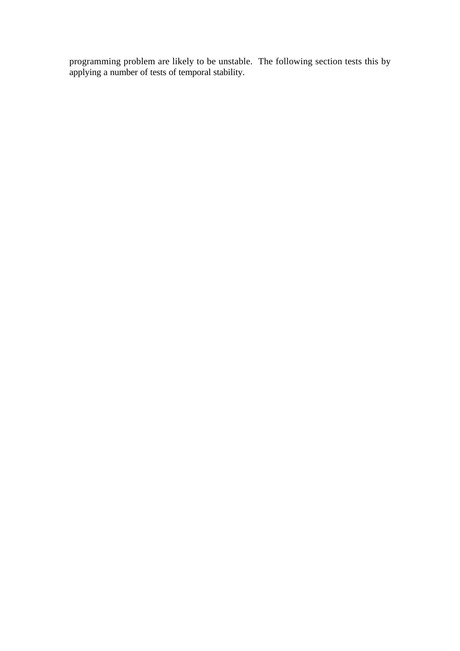programming problem are likely to be unstable. The following section tests this by applying a number of tests of temporal stability.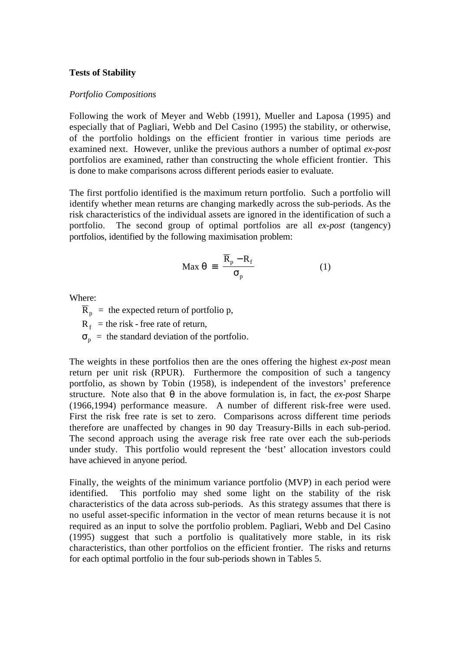### **Tests of Stability**

#### *Portfolio Compositions*

Following the work of Meyer and Webb (1991), Mueller and Laposa (1995) and especially that of Pagliari, Webb and Del Casino (1995) the stability, or otherwise, of the portfolio holdings on the efficient frontier in various time periods are examined next. However, unlike the previous authors a number of optimal *ex-post* portfolios are examined, rather than constructing the whole efficient frontier. This is done to make comparisons across different periods easier to evaluate.

The first portfolio identified is the maximum return portfolio. Such a portfolio will identify whether mean returns are changing markedly across the sub-periods. As the risk characteristics of the individual assets are ignored in the identification of such a portfolio. The second group of optimal portfolios are all *ex-post* (tangency) portfolios, identified by the following maximisation problem:

$$
\text{Max } \theta = \frac{\overline{R}_p - R_f}{\sigma_p} \tag{1}
$$

Where:

 $\overline{R}_p$  = the expected return of portfolio p,

 $R_f$  = the risk - free rate of return,

 $\sigma_p$  = the standard deviation of the portfolio.

The weights in these portfolios then are the ones offering the highest *ex-post* mean return per unit risk (RPUR). Furthermore the composition of such a tangency portfolio, as shown by Tobin (1958), is independent of the investors' preference structure. Note also that  $\theta$  in the above formulation is, in fact, the *ex-post* Sharpe (1966,1994) performance measure. A number of different risk-free were used. First the risk free rate is set to zero. Comparisons across different time periods therefore are unaffected by changes in 90 day Treasury-Bills in each sub-period. The second approach using the average risk free rate over each the sub-periods under study. This portfolio would represent the 'best' allocation investors could have achieved in anyone period.

Finally, the weights of the minimum variance portfolio (MVP) in each period were identified. This portfolio may shed some light on the stability of the risk characteristics of the data across sub-periods. As this strategy assumes that there is no useful asset-specific information in the vector of mean returns because it is not required as an input to solve the portfolio problem. Pagliari, Webb and Del Casino (1995) suggest that such a portfolio is qualitatively more stable, in its risk characteristics, than other portfolios on the efficient frontier. The risks and returns for each optimal portfolio in the four sub-periods shown in Tables 5.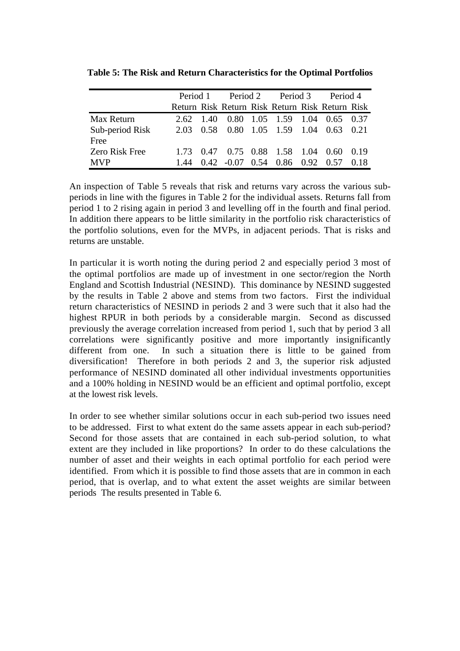|                         |      |                                          |  | Period 1 Period 2 Period 3 Period 4             |        |
|-------------------------|------|------------------------------------------|--|-------------------------------------------------|--------|
|                         |      |                                          |  | Return Risk Return Risk Return Risk Return Risk |        |
| Max Return              |      |                                          |  | 2.62 1.40 0.80 1.05 1.59 1.04 0.65 0.37         |        |
| Sub-period Risk<br>Free |      |                                          |  | 2.03 0.58 0.80 1.05 1.59 1.04 0.63 0.21         |        |
| Zero Risk Free          |      |                                          |  | 1.73 0.47 0.75 0.88 1.58 1.04 0.60 0.19         |        |
| <b>MVP</b>              | 1.44 | $0.42 -0.07$ $0.54$ $0.86$ $0.92$ $0.57$ |  |                                                 | - 0.18 |

**Table 5: The Risk and Return Characteristics for the Optimal Portfolios**

An inspection of Table 5 reveals that risk and returns vary across the various subperiods in line with the figures in Table 2 for the individual assets. Returns fall from period 1 to 2 rising again in period 3 and levelling off in the fourth and final period. In addition there appears to be little similarity in the portfolio risk characteristics of the portfolio solutions, even for the MVPs, in adjacent periods. That is risks and returns are unstable.

In particular it is worth noting the during period 2 and especially period 3 most of the optimal portfolios are made up of investment in one sector/region the North England and Scottish Industrial (NESIND). This dominance by NESIND suggested by the results in Table 2 above and stems from two factors. First the individual return characteristics of NESIND in periods 2 and 3 were such that it also had the highest RPUR in both periods by a considerable margin. Second as discussed previously the average correlation increased from period 1, such that by period 3 all correlations were significantly positive and more importantly insignificantly different from one. In such a situation there is little to be gained from diversification! Therefore in both periods 2 and 3, the superior risk adjusted performance of NESIND dominated all other individual investments opportunities and a 100% holding in NESIND would be an efficient and optimal portfolio, except at the lowest risk levels.

In order to see whether similar solutions occur in each sub-period two issues need to be addressed. First to what extent do the same assets appear in each sub-period? Second for those assets that are contained in each sub-period solution, to what extent are they included in like proportions? In order to do these calculations the number of asset and their weights in each optimal portfolio for each period were identified. From which it is possible to find those assets that are in common in each period, that is overlap, and to what extent the asset weights are similar between periods The results presented in Table 6.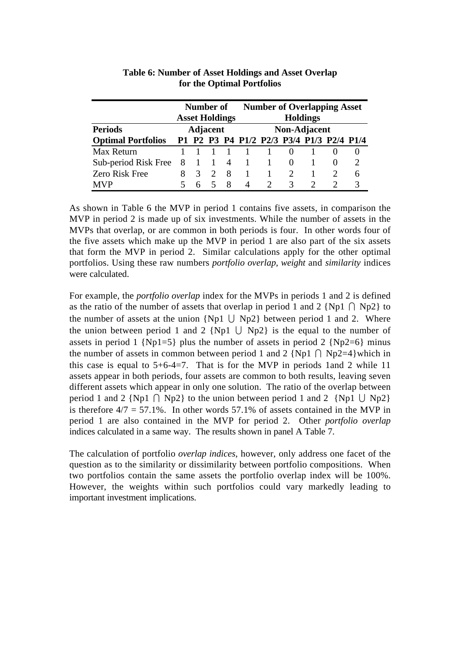|                           | Number of |                       |  |    | <b>Number of Overlapping Asset</b>        |              |                             |  |              |                             |  |
|---------------------------|-----------|-----------------------|--|----|-------------------------------------------|--------------|-----------------------------|--|--------------|-----------------------------|--|
|                           |           | <b>Asset Holdings</b> |  |    | <b>Holdings</b>                           |              |                             |  |              |                             |  |
| <b>Periods</b>            |           | Adjacent              |  |    |                                           | Non-Adjacent |                             |  |              |                             |  |
| <b>Optimal Portfolios</b> |           |                       |  |    | P1 P2 P3 P4 P1/2 P2/3 P3/4 P1/3 P2/4 P1/4 |              |                             |  |              |                             |  |
| Max Return                |           |                       |  |    | $\blacksquare$ 1                          |              | $\mathbf{0}$                |  | $\mathbf{U}$ |                             |  |
| Sub-period Risk Free      | 8 1 1     |                       |  | -4 | $\mathbf{1}$                              |              | $\theta$                    |  |              | $\mathcal{D}_{\mathcal{L}}$ |  |
| Zero Risk Free            | 8         | $\mathcal{R}$         |  | 8  | 1                                         |              | $\mathcal{D}_{\mathcal{L}}$ |  |              | 6                           |  |
| <b>MVP</b>                |           |                       |  | x  | $\Delta$                                  |              | 3                           |  |              | 3                           |  |

# **Table 6: Number of Asset Holdings and Asset Overlap for the Optimal Portfolios**

As shown in Table 6 the MVP in period 1 contains five assets, in comparison the MVP in period 2 is made up of six investments. While the number of assets in the MVPs that overlap, or are common in both periods is four. In other words four of the five assets which make up the MVP in period 1 are also part of the six assets that form the MVP in period 2. Similar calculations apply for the other optimal portfolios. Using these raw numbers *portfolio overlap, weight* and *similarity* indices were calculated.

For example, the *portfolio overlap* index for the MVPs in periods 1 and 2 is defined as the ratio of the number of assets that overlap in period 1 and 2 {Np1  $\cap$  Np2} to the number of assets at the union  $\{Np1 \mid Np2\}$  between period 1 and 2. Where the union between period 1 and 2 {Np1  $\cup$  Np2} is the equal to the number of assets in period 1  $\{Np1=5\}$  plus the number of assets in period 2  $\{Np2=6\}$  minus the number of assets in common between period 1 and 2 {Np1  $\cap$  Np2=4}which in this case is equal to  $5+6-4=7$ . That is for the MVP in periods 1 and 2 while 11 assets appear in both periods, four assets are common to both results, leaving seven different assets which appear in only one solution. The ratio of the overlap between period 1 and 2 {Np1  $\cap$  Np2} to the union between period 1 and 2 {Np1  $\cup$  Np2} is therefore  $4/7 = 57.1\%$ . In other words 57.1% of assets contained in the MVP in period 1 are also contained in the MVP for period 2. Other *portfolio overlap* indices calculated in a same way. The results shown in panel A Table 7.

The calculation of portfolio *overlap indices*, however, only address one facet of the question as to the similarity or dissimilarity between portfolio compositions. When two portfolios contain the same assets the portfolio overlap index will be 100%. However, the weights within such portfolios could vary markedly leading to important investment implications.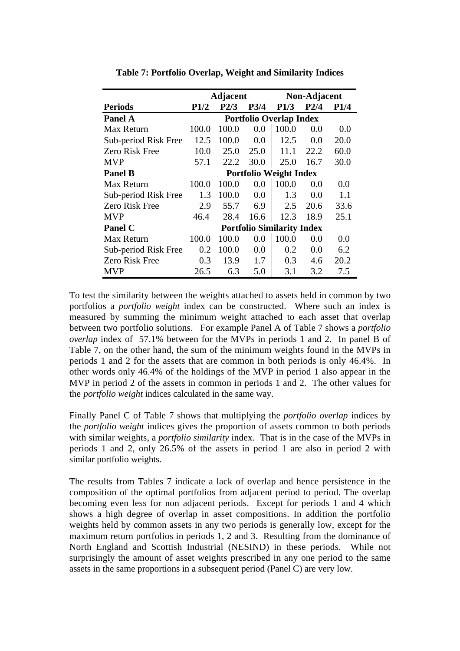|                       |             | <b>Adjacent</b> |         | Non-Adjacent                      |      |                               |  |  |  |  |  |
|-----------------------|-------------|-----------------|---------|-----------------------------------|------|-------------------------------|--|--|--|--|--|
| <b>Periods</b>        | <b>P1/2</b> | P2/3            | P3/4    | <b>P1/3</b>                       | P2/4 | P1/4                          |  |  |  |  |  |
| <b>Panel A</b>        |             |                 |         | <b>Portfolio Overlap Index</b>    |      |                               |  |  |  |  |  |
| Max Return            | 100.0       | 100.0           | 0.0     | 100.0                             | 0.0  | 0.0                           |  |  |  |  |  |
| Sub-period Risk Free  | 12.5        | 100.0           | 0.0     | 12.5                              | 0.0  | 20.0                          |  |  |  |  |  |
| <b>Zero Risk Free</b> | 10.0        | 25.0            | 25.0    | 11.1                              | 22.2 | 60.0                          |  |  |  |  |  |
| <b>MVP</b>            | 57.1        | 22.2            | 30.0    | 25.0                              | 16.7 | 30.0                          |  |  |  |  |  |
| <b>Panel B</b>        |             |                 |         |                                   |      | <b>Portfolio Weight Index</b> |  |  |  |  |  |
| Max Return            | 100.0       | 100.0           | 0.0     | 100.0                             | 0.0  | 0.0                           |  |  |  |  |  |
| Sub-period Risk Free  | 1.3         | 100.0           | $0.0\,$ | 1.3                               | 0.0  | 1.1                           |  |  |  |  |  |
| Zero Risk Free        | 2.9         | 55.7            | 6.9     | 2.5                               | 20.6 | 33.6                          |  |  |  |  |  |
| <b>MVP</b>            | 46.4        | 28.4            | 16.6    | 12.3                              | 18.9 | 25.1                          |  |  |  |  |  |
| <b>Panel C</b>        |             |                 |         | <b>Portfolio Similarity Index</b> |      |                               |  |  |  |  |  |
| Max Return            | 100.0       | 100.0           | 0.0     | 100.0                             | 0.0  | 0.0                           |  |  |  |  |  |
| Sub-period Risk Free  | 0.2         | 100.0           | 0.0     | 0.2                               | 0.0  | 6.2                           |  |  |  |  |  |
| Zero Risk Free        | 0.3         | 13.9            | 1.7     | 0.3                               | 4.6  | 20.2                          |  |  |  |  |  |
| MVP                   | 26.5        | 6.3             | 5.0     | 3.1                               | 3.2  | 7.5                           |  |  |  |  |  |

**Table 7: Portfolio Overlap, Weight and Similarity Indices**

To test the similarity between the weights attached to assets held in common by two portfolios a *portfolio weight* index can be constructed. Where such an index is measured by summing the minimum weight attached to each asset that overlap between two portfolio solutions. For example Panel A of Table 7 shows a *portfolio overlap* index of 57.1% between for the MVPs in periods 1 and 2. In panel B of Table 7, on the other hand, the sum of the minimum weights found in the MVPs in periods 1 and 2 for the assets that are common in both periods is only 46.4%. In other words only 46.4% of the holdings of the MVP in period 1 also appear in the MVP in period 2 of the assets in common in periods 1 and 2. The other values for the *portfolio weight* indices calculated in the same way.

Finally Panel C of Table 7 shows that multiplying the *portfolio overlap* indices by the *portfolio weight* indices gives the proportion of assets common to both periods with similar weights, a *portfolio similarity* index. That is in the case of the MVPs in periods 1 and 2, only 26.5% of the assets in period 1 are also in period 2 with similar portfolio weights.

The results from Tables 7 indicate a lack of overlap and hence persistence in the composition of the optimal portfolios from adjacent period to period. The overlap becoming even less for non adjacent periods. Except for periods 1 and 4 which shows a high degree of overlap in asset compositions. In addition the portfolio weights held by common assets in any two periods is generally low, except for the maximum return portfolios in periods 1, 2 and 3. Resulting from the dominance of North England and Scottish Industrial (NESIND) in these periods. While not surprisingly the amount of asset weights prescribed in any one period to the same assets in the same proportions in a subsequent period (Panel C) are very low.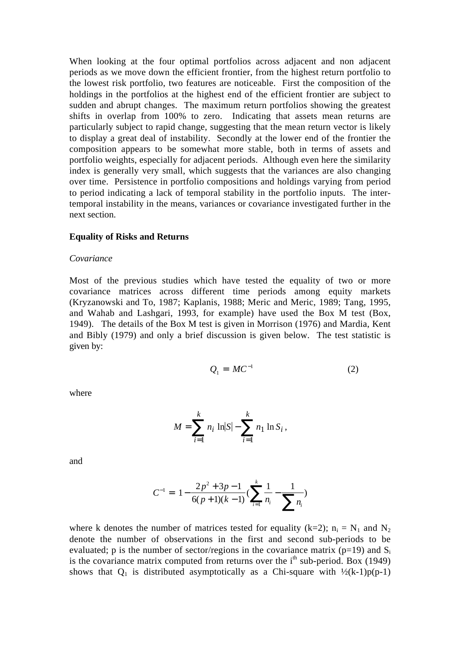When looking at the four optimal portfolios across adjacent and non adjacent periods as we move down the efficient frontier, from the highest return portfolio to the lowest risk portfolio, two features are noticeable. First the composition of the holdings in the portfolios at the highest end of the efficient frontier are subject to sudden and abrupt changes. The maximum return portfolios showing the greatest shifts in overlap from 100% to zero. Indicating that assets mean returns are particularly subject to rapid change, suggesting that the mean return vector is likely to display a great deal of instability. Secondly at the lower end of the frontier the composition appears to be somewhat more stable, both in terms of assets and portfolio weights, especially for adjacent periods. Although even here the similarity index is generally very small, which suggests that the variances are also changing over time. Persistence in portfolio compositions and holdings varying from period to period indicating a lack of temporal stability in the portfolio inputs. The intertemporal instability in the means, variances or covariance investigated further in the next section.

#### **Equality of Risks and Returns**

#### *Covariance*

Most of the previous studies which have tested the equality of two or more covariance matrices across different time periods among equity markets (Kryzanowski and To, 1987; Kaplanis, 1988; Meric and Meric, 1989; Tang, 1995, and Wahab and Lashgari, 1993, for example) have used the Box M test (Box, 1949). The details of the Box M test is given in Morrison (1976) and Mardia, Kent and Bibly (1979) and only a brief discussion is given below. The test statistic is given by:

$$
Q_1 = MC^{-1} \tag{2}
$$

where

$$
M = \sum_{i=1}^{k} n_i \ln |S| - \sum_{i=1}^{k} n_i \ln S_i,
$$

and

$$
C^{-1} = 1 - \frac{2p^2 + 3p - 1}{6(p+1)(k-1)} \left( \sum_{i=1}^{k} \frac{1}{n_i} - \frac{1}{\sum_{i=1}^{k} n_i} \right)
$$

where k denotes the number of matrices tested for equality (k=2);  $n_i = N_1$  and  $N_2$ denote the number of observations in the first and second sub-periods to be evaluated; p is the number of sector/regions in the covariance matrix ( $p=19$ ) and  $S_i$ is the covariance matrix computed from returns over the  $i<sup>th</sup>$  sub-period. Box (1949) shows that  $Q_1$  is distributed asymptotically as a Chi-square with  $\frac{1}{2}(k-1)p(p-1)$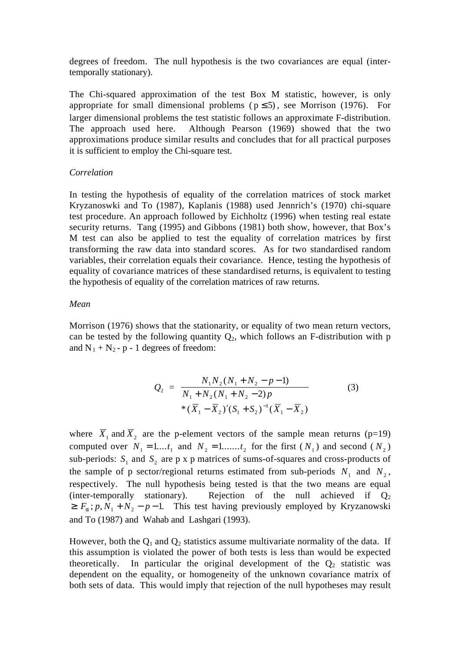degrees of freedom. The null hypothesis is the two covariances are equal (intertemporally stationary).

The Chi-squared approximation of the test Box M statistic, however, is only appropriate for small dimensional problems ( $p \le 5$ ), see Morrison (1976). For larger dimensional problems the test statistic follows an approximate F-distribution. The approach used here. Although Pearson (1969) showed that the two approximations produce similar results and concludes that for all practical purposes it is sufficient to employ the Chi-square test.

#### *Correlation*

In testing the hypothesis of equality of the correlation matrices of stock market Kryzanoswki and To (1987), Kaplanis (1988) used Jennrich's (1970) chi-square test procedure. An approach followed by Eichholtz (1996) when testing real estate security returns. Tang (1995) and Gibbons (1981) both show, however, that Box's M test can also be applied to test the equality of correlation matrices by first transforming the raw data into standard scores. As for two standardised random variables, their correlation equals their covariance. Hence, testing the hypothesis of equality of covariance matrices of these standardised returns, is equivalent to testing the hypothesis of equality of the correlation matrices of raw returns.

#### *Mean*

Morrison (1976) shows that the stationarity, or equality of two mean return vectors, can be tested by the following quantity  $Q_2$ , which follows an F-distribution with p and  $N_1 + N_2 - p - 1$  degrees of freedom:

$$
Q_2 = \frac{N_1 N_2 (N_1 + N_2 - p - 1)}{N_1 + N_2 (N_1 + N_2 - 2)p} \tag{3}
$$
  
 \*  $(\overline{X}_1 - \overline{X}_2)' (S_1 + S_2)^{-1} (\overline{X}_1 - \overline{X}_2)$ 

where  $\overline{X}_1$  and  $\overline{X}_2$  are the p-element vectors of the sample mean returns (p=19) computed over  $N_1 = 1...t_1$  and  $N_2 = 1...t_2$  for the first  $(N_1)$  and second  $(N_2)$ sub-periods:  $S_1$  and  $S_2$  are p x p matrices of sums-of-squares and cross-products of the sample of p sector/regional returns estimated from sub-periods  $N_1$  and  $N_2$ , respectively. The null hypothesis being tested is that the two means are equal (inter-temporally stationary). Rejection of the null achieved if  $Q_2$  $\ge F_a$ ;  $p, N_1 + N_2 - p - 1$ . This test having previously employed by Kryzanowski and To (1987) and Wahab and Lashgari (1993).

However, both the  $Q_1$  and  $Q_2$  statistics assume multivariate normality of the data. If this assumption is violated the power of both tests is less than would be expected theoretically. In particular the original development of the  $Q_2$  statistic was dependent on the equality, or homogeneity of the unknown covariance matrix of both sets of data. This would imply that rejection of the null hypotheses may result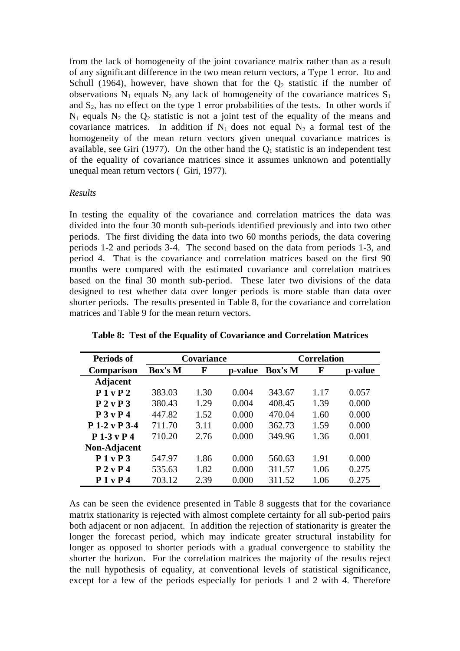from the lack of homogeneity of the joint covariance matrix rather than as a result of any significant difference in the two mean return vectors, a Type 1 error. Ito and Schull (1964), however, have shown that for the  $Q_2$  statistic if the number of observations  $N_1$  equals  $N_2$  any lack of homogeneity of the covariance matrices  $S_1$ and  $S_2$ , has no effect on the type 1 error probabilities of the tests. In other words if  $N_1$  equals  $N_2$  the  $Q_2$  statistic is not a joint test of the equality of the means and covariance matrices. In addition if  $N_1$  does not equal  $N_2$  a formal test of the homogeneity of the mean return vectors given unequal covariance matrices is available, see Giri (1977). On the other hand the  $O<sub>1</sub>$  statistic is an independent test of the equality of covariance matrices since it assumes unknown and potentially unequal mean return vectors ( Giri, 1977).

# *Results*

In testing the equality of the covariance and correlation matrices the data was divided into the four 30 month sub-periods identified previously and into two other periods. The first dividing the data into two 60 months periods, the data covering periods 1-2 and periods 3-4. The second based on the data from periods 1-3, and period 4. That is the covariance and correlation matrices based on the first 90 months were compared with the estimated covariance and correlation matrices based on the final 30 month sub-period. These later two divisions of the data designed to test whether data over longer periods is more stable than data over shorter periods. The results presented in Table 8, for the covariance and correlation matrices and Table 9 for the mean return vectors.

| <b>Periods of</b> |         | Covariance   |       |         | <b>Correlation</b> |         |  |  |  |
|-------------------|---------|--------------|-------|---------|--------------------|---------|--|--|--|
| <b>Comparison</b> | Box's M | F<br>p-value |       | Box's M | F                  | p-value |  |  |  |
| <b>Adjacent</b>   |         |              |       |         |                    |         |  |  |  |
| P1 v P2           | 383.03  | 1.30         | 0.004 | 343.67  | 1.17               | 0.057   |  |  |  |
| P 2 v P 3         | 380.43  | 1.29         | 0.004 | 408.45  | 1.39               | 0.000   |  |  |  |
| P 3 v P 4         | 447.82  | 1.52         | 0.000 | 470.04  | 1.60               | 0.000   |  |  |  |
| P 1-2 v P 3-4     | 711.70  | 3.11         | 0.000 | 362.73  | 1.59               | 0.000   |  |  |  |
| $P1-3vP4$         | 710.20  | 2.76         | 0.000 | 349.96  | 1.36               | 0.001   |  |  |  |
| Non-Adjacent      |         |              |       |         |                    |         |  |  |  |
| P1vP3             | 547.97  | 1.86         | 0.000 | 560.63  | 1.91               | 0.000   |  |  |  |
| P 2 v P 4         | 535.63  | 1.82         | 0.000 | 311.57  | 1.06               | 0.275   |  |  |  |
| P1vP4             | 703.12  | 2.39         | 0.000 | 311.52  | 1.06               | 0.275   |  |  |  |

**Table 8: Test of the Equality of Covariance and Correlation Matrices**

As can be seen the evidence presented in Table 8 suggests that for the covariance matrix stationarity is rejected with almost complete certainty for all sub-period pairs both adjacent or non adjacent. In addition the rejection of stationarity is greater the longer the forecast period, which may indicate greater structural instability for longer as opposed to shorter periods with a gradual convergence to stability the shorter the horizon. For the correlation matrices the majority of the results reject the null hypothesis of equality, at conventional levels of statistical significance, except for a few of the periods especially for periods 1 and 2 with 4. Therefore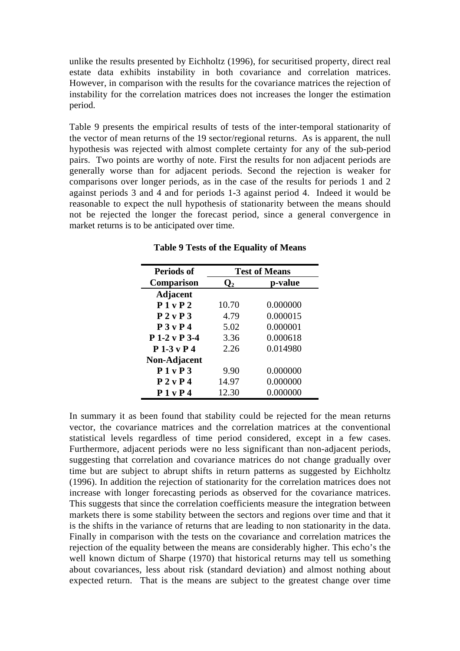unlike the results presented by Eichholtz (1996), for securitised property, direct real estate data exhibits instability in both covariance and correlation matrices. However, in comparison with the results for the covariance matrices the rejection of instability for the correlation matrices does not increases the longer the estimation period.

Table 9 presents the empirical results of tests of the inter-temporal stationarity of the vector of mean returns of the 19 sector/regional returns. As is apparent, the null hypothesis was rejected with almost complete certainty for any of the sub-period pairs. Two points are worthy of note. First the results for non adjacent periods are generally worse than for adjacent periods. Second the rejection is weaker for comparisons over longer periods, as in the case of the results for periods 1 and 2 against periods 3 and 4 and for periods 1-3 against period 4. Indeed it would be reasonable to expect the null hypothesis of stationarity between the means should not be rejected the longer the forecast period, since a general convergence in market returns is to be anticipated over time.

| <b>Periods of</b> | <b>Test of Means</b> |          |  |  |  |  |
|-------------------|----------------------|----------|--|--|--|--|
| Comparison        | $\mathsf{U}_2$       | p-value  |  |  |  |  |
| <b>Adjacent</b>   |                      |          |  |  |  |  |
| P1 v P2           | 10.70                | 0.000000 |  |  |  |  |
| P2vP3             | 4.79                 | 0.000015 |  |  |  |  |
| P 3 v P 4         | 5.02                 | 0.000001 |  |  |  |  |
| P 1-2 v P 3-4     | 3.36                 | 0.000618 |  |  |  |  |
| $P1-3vP4$         | 2.26                 | 0.014980 |  |  |  |  |
| Non-Adjacent      |                      |          |  |  |  |  |
| P1vP3             | 9.90                 | 0.000000 |  |  |  |  |
| P 2 v P 4         | 14.97                | 0.000000 |  |  |  |  |
| P1vP4             | 12.30                | 0.000000 |  |  |  |  |

**Table 9 Tests of the Equality of Means**

In summary it as been found that stability could be rejected for the mean returns vector, the covariance matrices and the correlation matrices at the conventional statistical levels regardless of time period considered, except in a few cases. Furthermore, adjacent periods were no less significant than non-adjacent periods, suggesting that correlation and covariance matrices do not change gradually over time but are subject to abrupt shifts in return patterns as suggested by Eichholtz (1996). In addition the rejection of stationarity for the correlation matrices does not increase with longer forecasting periods as observed for the covariance matrices. This suggests that since the correlation coefficients measure the integration between markets there is some stability between the sectors and regions over time and that it is the shifts in the variance of returns that are leading to non stationarity in the data. Finally in comparison with the tests on the covariance and correlation matrices the rejection of the equality between the means are considerably higher. This echo's the well known dictum of Sharpe (1970) that historical returns may tell us something about covariances, less about risk (standard deviation) and almost nothing about expected return. That is the means are subject to the greatest change over time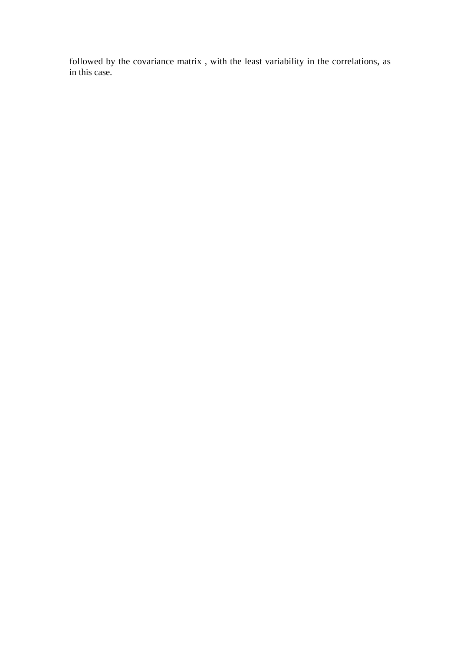followed by the covariance matrix , with the least variability in the correlations, as in this case.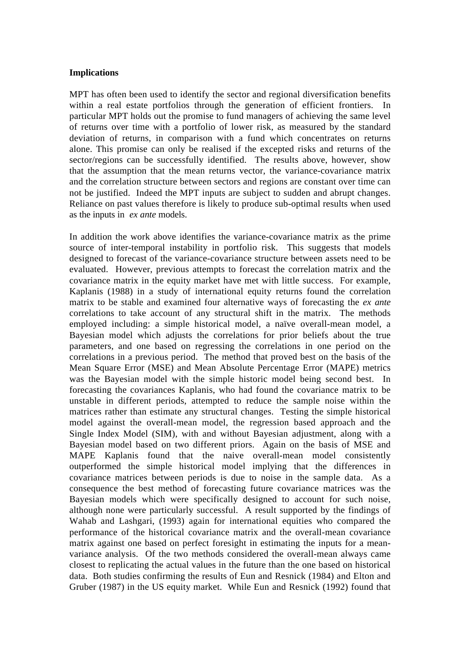### **Implications**

MPT has often been used to identify the sector and regional diversification benefits within a real estate portfolios through the generation of efficient frontiers. In particular MPT holds out the promise to fund managers of achieving the same level of returns over time with a portfolio of lower risk, as measured by the standard deviation of returns, in comparison with a fund which concentrates on returns alone. This promise can only be realised if the excepted risks and returns of the sector/regions can be successfully identified. The results above, however, show that the assumption that the mean returns vector, the variance-covariance matrix and the correlation structure between sectors and regions are constant over time can not be justified. Indeed the MPT inputs are subject to sudden and abrupt changes. Reliance on past values therefore is likely to produce sub-optimal results when used as the inputs in *ex ante* models.

In addition the work above identifies the variance-covariance matrix as the prime source of inter-temporal instability in portfolio risk. This suggests that models designed to forecast of the variance-covariance structure between assets need to be evaluated. However, previous attempts to forecast the correlation matrix and the covariance matrix in the equity market have met with little success. For example, Kaplanis (1988) in a study of international equity returns found the correlation matrix to be stable and examined four alternative ways of forecasting the *ex ante* correlations to take account of any structural shift in the matrix. The methods employed including: a simple historical model, a naïve overall-mean model, a Bayesian model which adjusts the correlations for prior beliefs about the true parameters, and one based on regressing the correlations in one period on the correlations in a previous period. The method that proved best on the basis of the Mean Square Error (MSE) and Mean Absolute Percentage Error (MAPE) metrics was the Bayesian model with the simple historic model being second best. In forecasting the covariances Kaplanis, who had found the covariance matrix to be unstable in different periods, attempted to reduce the sample noise within the matrices rather than estimate any structural changes. Testing the simple historical model against the overall-mean model, the regression based approach and the Single Index Model (SIM), with and without Bayesian adjustment, along with a Bayesian model based on two different priors. Again on the basis of MSE and MAPE Kaplanis found that the naive overall-mean model consistently outperformed the simple historical model implying that the differences in covariance matrices between periods is due to noise in the sample data. As a consequence the best method of forecasting future covariance matrices was the Bayesian models which were specifically designed to account for such noise, although none were particularly successful. A result supported by the findings of Wahab and Lashgari, (1993) again for international equities who compared the performance of the historical covariance matrix and the overall-mean covariance matrix against one based on perfect foresight in estimating the inputs for a meanvariance analysis. Of the two methods considered the overall-mean always came closest to replicating the actual values in the future than the one based on historical data. Both studies confirming the results of Eun and Resnick (1984) and Elton and Gruber (1987) in the US equity market. While Eun and Resnick (1992) found that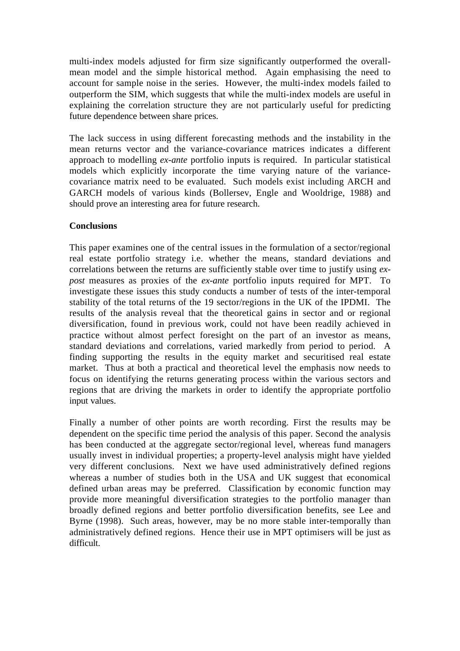multi-index models adjusted for firm size significantly outperformed the overallmean model and the simple historical method. Again emphasising the need to account for sample noise in the series. However, the multi-index models failed to outperform the SIM, which suggests that while the multi-index models are useful in explaining the correlation structure they are not particularly useful for predicting future dependence between share prices.

The lack success in using different forecasting methods and the instability in the mean returns vector and the variance-covariance matrices indicates a different approach to modelling *ex-ante* portfolio inputs is required. In particular statistical models which explicitly incorporate the time varying nature of the variancecovariance matrix need to be evaluated. Such models exist including ARCH and GARCH models of various kinds (Bollersev, Engle and Wooldrige, 1988) and should prove an interesting area for future research.

# **Conclusions**

This paper examines one of the central issues in the formulation of a sector/regional real estate portfolio strategy i.e. whether the means, standard deviations and correlations between the returns are sufficiently stable over time to justify using *expost* measures as proxies of the *ex-ante* portfolio inputs required for MPT. To investigate these issues this study conducts a number of tests of the inter-temporal stability of the total returns of the 19 sector/regions in the UK of the IPDMI. The results of the analysis reveal that the theoretical gains in sector and or regional diversification, found in previous work, could not have been readily achieved in practice without almost perfect foresight on the part of an investor as means, standard deviations and correlations, varied markedly from period to period. A finding supporting the results in the equity market and securitised real estate market. Thus at both a practical and theoretical level the emphasis now needs to focus on identifying the returns generating process within the various sectors and regions that are driving the markets in order to identify the appropriate portfolio input values.

Finally a number of other points are worth recording. First the results may be dependent on the specific time period the analysis of this paper. Second the analysis has been conducted at the aggregate sector/regional level, whereas fund managers usually invest in individual properties; a property-level analysis might have yielded very different conclusions. Next we have used administratively defined regions whereas a number of studies both in the USA and UK suggest that economical defined urban areas may be preferred. Classification by economic function may provide more meaningful diversification strategies to the portfolio manager than broadly defined regions and better portfolio diversification benefits, see Lee and Byrne (1998). Such areas, however, may be no more stable inter-temporally than administratively defined regions. Hence their use in MPT optimisers will be just as difficult.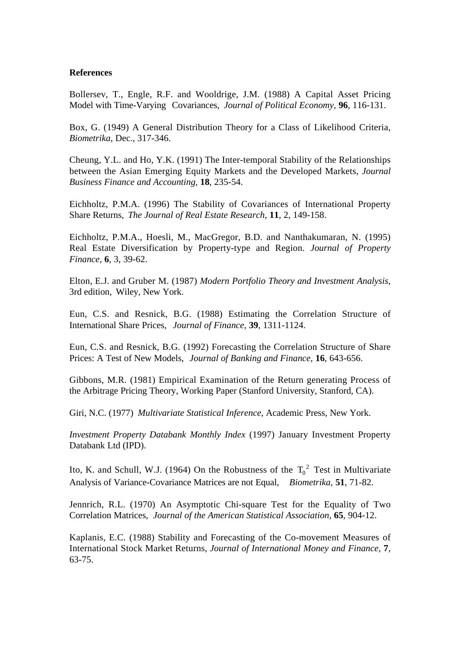# **References**

Bollersev, T., Engle, R.F. and Wooldrige, J.M. (1988) A Capital Asset Pricing Model with Time-Varying Covariances, *Journal of Political Economy*, **96**, 116-131.

Box, G. (1949) A General Distribution Theory for a Class of Likelihood Criteria, *Biometrika*, Dec., 317-346.

Cheung, Y.L. and Ho, Y.K. (1991) The Inter-temporal Stability of the Relationships between the Asian Emerging Equity Markets and the Developed Markets, *Journal Business Finance and Accounting,* **18**, 235-54.

Eichholtz, P.M.A. (1996) The Stability of Covariances of International Property Share Returns, *The Journal of Real Estate Research*, **11**, 2, 149-158.

Eichholtz, P.M.A., Hoesli, M., MacGregor, B.D. and Nanthakumaran, N. (1995) Real Estate Diversification by Property-type and Region. *Journal of Property Finance*, **6**, 3, 39-62.

Elton, E.J. and Gruber M. (1987) *Modern Portfolio Theory and Investment Analysis*, 3rd edition, Wiley, New York.

Eun, C.S. and Resnick, B.G. (1988) Estimating the Correlation Structure of International Share Prices, *Journal of Finance*, **39**, 1311-1124.

Eun, C.S. and Resnick, B.G. (1992) Forecasting the Correlation Structure of Share Prices: A Test of New Models, *Journal of Banking and Finance*, **16**, 643-656.

Gibbons, M.R. (1981) Empirical Examination of the Return generating Process of the Arbitrage Pricing Theory, Working Paper (Stanford University, Stanford, CA).

Giri, N.C. (1977) *Multivariate Statistical Inference*, Academic Press, New York.

*Investment Property Databank Monthly Index* (1997) January Investment Property Databank Ltd (IPD).

Ito, K. and Schull, W.J. (1964) On the Robustness of the  $T_0^2$  Test in Multivariate Analysis of Variance-Covariance Matrices are not Equal, *Biometrika*, **51**, 71-82.

Jennrich, R.L. (1970) An Asymptotic Chi-square Test for the Equality of Two Correlation Matrices, *Journal of the American Statistical Association,* **65***,* 904-12.

Kaplanis, E.C. (1988) Stability and Forecasting of the Co-movement Measures of International Stock Market Returns, *Journal of International Money and Finance,* **7***,* 63-75.